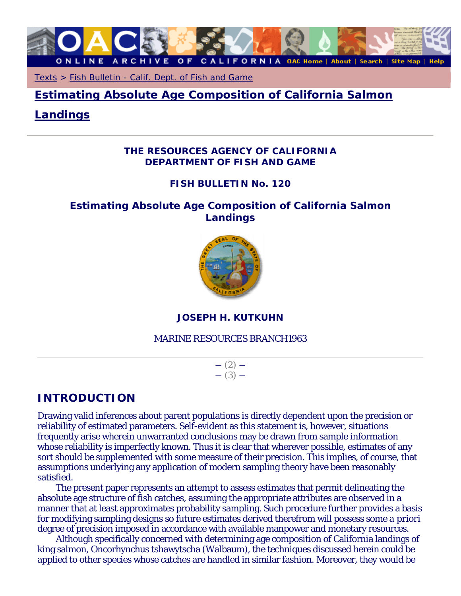

Texts > Fish Bulletin - Calif. Dept. of Fish and Game

**Estimating Absolute Age Composition of California Salmon** 

# **Landings**

# *THE RESOURCES AGENCY OF CALIFORNIA DEPARTMENT OF FISH AND GAME*

# *FISH BULLETIN No. 120*

# **Estimating Absolute Age Composition of California Salmon Landings**



# **JOSEPH H. KUTKUHN**

#### MARINE RESOURCES BRANCH1963

 $-$  (2)  $-$  (3)  $-$ 

# **INTRODUCTION**

Drawing valid inferences about parent populations is directly dependent upon the precision or reliability of estimated parameters. Self-evident as this statement is, however, situations frequently arise wherein unwarranted conclusions may be drawn from sample information whose reliability is imperfectly known. Thus it is clear that wherever possible, estimates of any sort should be supplemented with some measure of their precision. This implies, of course, that assumptions underlying any application of modern sampling theory have been reasonably satisfied.

The present paper represents an attempt to assess estimates that permit delineating the absolute age structure of fish catches, assuming the appropriate attributes are observed in a manner that at least approximates probability sampling. Such procedure further provides a basis for modifying sampling designs so future estimates derived therefrom will possess some *a priori* degree of precision imposed in accordance with available manpower and monetary resources.

Although specifically concerned with determining age composition of California landings of king salmon, Oncorhynchus tshawytscha (Walbaum), the techniques discussed herein could be applied to other species whose catches are handled in similar fashion. Moreover, they would be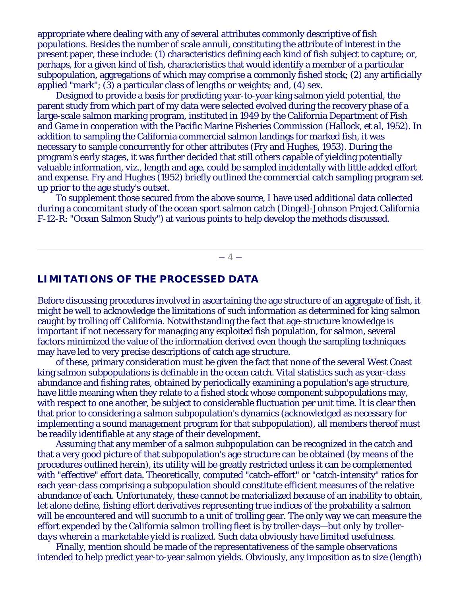appropriate where dealing with any of several attributes commonly descriptive of fish populations. Besides the number of scale annuli, constituting the attribute of interest in the present paper, these include: (1) characteristics defining each kind of fish subject to capture; or, perhaps, for a given kind of fish, characteristics that would identify a member of a particular subpopulation, aggregations of which may comprise a commonly fished stock; (2) any artificially applied "mark"; (3) a particular class of lengths or weights; and, (4) sex.

Designed to provide a basis for predicting year-to-year king salmon yield potential, the parent study from which part of my data were selected evolved during the recovery phase of a large-scale salmon marking program, instituted in 1949 by the California Department of Fish and Game in cooperation with the Pacific Marine Fisheries Commission (Hallock, *et al,* 1952). In addition to sampling the California commercial salmon landings for marked fish, it was necessary to sample concurrently for other attributes (Fry and Hughes, 1953). During the program's early stages, it was further decided that still others capable of yielding potentially valuable information, *viz.,* length and age, could be sampled incidentally with little added effort and expense. Fry and Hughes (1952) briefly outlined the commercial catch sampling program set up prior to the age study's outset.

To supplement those secured from the above source, I have used additional data collected during a concomitant study of the ocean sport salmon catch (Dingell-Johnson Project California F-12-R: "Ocean Salmon Study") at various points to help develop the methods discussed.

 $-4-$ 

## **LIMITATIONS OF THE PROCESSED DATA**

Before discussing procedures involved in ascertaining the age structure of an aggregate of fish, it might be well to acknowledge the limitations of such information as determined for king salmon caught by trolling off California. Notwithstanding the fact that age-structure knowledge is important if not necessary for managing any exploited fish population, for salmon, several factors minimized the value of the information derived even though the sampling techniques may have led to very precise descriptions of catch age structure.

of these, primary consideration must be given the fact that none of the several West Coast king salmon subpopulations is definable in the ocean catch. Vital statistics such as year-class abundance and fishing rates, obtained by periodically examining a population's age structure, have little meaning when they relate to a fished stock whose component subpopulations may, with respect to one another, be subject to considerable fluctuation per unit time. It is clear then that prior to considering a salmon subpopulation's dynamics (acknowledged as necessary for implementing a sound management program for that subpopulation), all members thereof must be readily identifiable at any stage of their development.

Assuming that any member of a salmon subpopulation can be recognized in the catch and that a very good picture of that subpopulation's age structure can be obtained (by means of the procedures outlined herein), its utility will be greatly restricted unless it can be complemented with "effective" effort data. Theoretically, computed "catch-effort" or "catch-intensity" ratios for each year-class comprising a subpopulation should constitute efficient measures of the relative abundance of each. Unfortunately, these cannot be materialized because of an inability to obtain, let alone define, fishing effort derivatives representing true indices of the probability a salmon will be encountered and will succumb to a unit of trolling gear. The only way we can measure the effort expended by the California salmon trolling fleet is by troller-days—*but only by trollerdays wherein a marketable yield is realized*. Such data obviously have limited usefulness.

Finally, mention should be made of the representativeness of the sample observations intended to help predict year-to-year salmon yields. Obviously, any imposition as to size (length)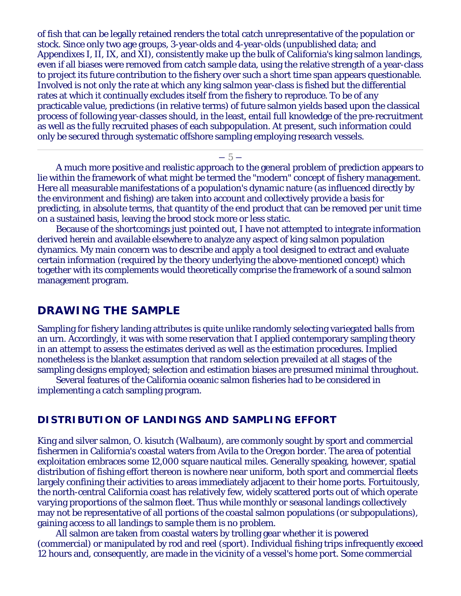of fish that can be legally retained renders the total catch unrepresentative of the population or stock. Since only two age groups, 3-year-olds and 4-year-olds (unpublished data; and Appendixes I, II, IX, and XI), consistently make up the bulk of California's king salmon landings, even if all biases were removed from catch sample data, using the relative strength of a year-class to project its future contribution to the fishery over such a short time span appears questionable. Involved is not only the rate at which any king salmon year-class is fished but the differential rates at which it continually excludes itself from the fishery to reproduce. To be of any practicable value, predictions (in relative terms) of future salmon yields based upon the classical process of following year-classes should, in the least, entail full knowledge of the pre-recruitment as well as the fully recruited phases of each subpopulation. At present, such information could only be secured through systematic offshore sampling employing research vessels.

 $-5-$ 

A much more positive and realistic approach to the general problem of prediction appears to lie within the framework of what might be termed the "modern" concept of fishery management. Here all measurable manifestations of a population's dynamic nature (as influenced directly by the environment and fishing) are taken into account and collectively provide a basis for predicting, in absolute terms, that quantity of the end product that can be removed per unit time on a sustained basis, leaving the brood stock more or less static.

Because of the shortcomings just pointed out, I have not attempted to integrate information derived herein and available elsewhere to analyze any aspect of king salmon population dynamics. My main concern was to describe and apply a tool designed to extract and evaluate certain information (required by the theory underlying the above-mentioned concept) which together with its complements would theoretically comprise the framework of a sound salmon management program.

# **DRAWING THE SAMPLE**

Sampling for fishery landing attributes is quite unlike randomly selecting variegated balls from an urn. Accordingly, it was with some reservation that I applied contemporary sampling theory in an attempt to assess the estimates derived as well as the estimation procedures. Implied nonetheless is the blanket assumption that random selection prevailed at all stages of the sampling designs employed; selection and estimation biases are presumed minimal throughout.

Several features of the California oceanic salmon fisheries had to be considered in implementing a catch sampling program.

# **DISTRIBUTION OF LANDINGS AND SAMPLING EFFORT**

King and silver salmon, O. kisutch (Walbaum), are commonly sought by sport and commercial fishermen in California's coastal waters from Avila to the Oregon border. The area of potential exploitation embraces some 12,000 square nautical miles. Generally speaking, however, spatial distribution of fishing effort thereon is nowhere near uniform, both sport and commercial fleets largely confining their activities to areas immediately adjacent to their home ports. Fortuitously, the north-central California coast has relatively few, widely scattered ports out of which operate varying proportions of the salmon fleet. Thus while monthly or seasonal landings collectively may not be representative of all portions of the coastal salmon populations (or subpopulations), gaining access to all landings to sample them is no problem.

All salmon are taken from coastal waters by trolling gear whether it is powered (commercial) or manipulated by rod and reel (sport). Individual fishing trips infrequently exceed 12 hours and, consequently, are made in the vicinity of a vessel's home port. Some commercial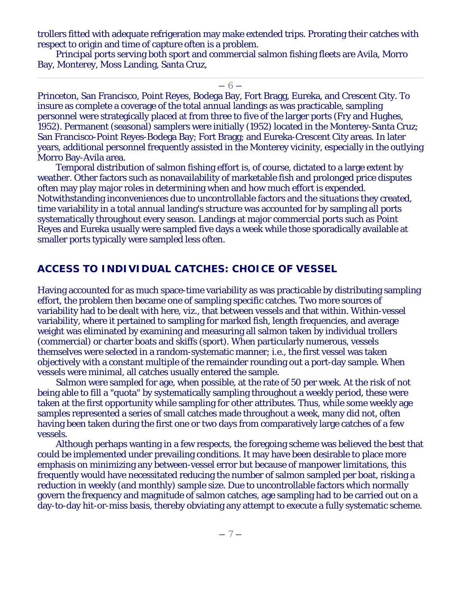trollers fitted with adequate refrigeration may make extended trips. Prorating their catches with respect to origin and time of capture often is a problem.

Principal ports serving both sport and commercial salmon fishing fleets are Avila, Morro Bay, Monterey, Moss Landing, Santa Cruz,

 $-6-$ 

Princeton, San Francisco, Point Reyes, Bodega Bay, Fort Bragg, Eureka, and Crescent City. To insure as complete a coverage of the total annual landings as was practicable, sampling personnel were strategically placed at from three to five of the larger ports (Fry and Hughes, 1952). Permanent (seasonal) samplers were initially (1952) located in the Monterey-Santa Cruz; San Francisco-Point Reyes-Bodega Bay; Fort Bragg; and Eureka-Crescent City areas. In later years, additional personnel frequently assisted in the Monterey vicinity, especially in the outlying Morro Bay-Avila area.

Temporal distribution of salmon fishing effort is, of course, dictated to a large extent by weather. Other factors such as nonavailability of marketable fish and prolonged price disputes often may play major roles in determining when and how much effort is expended. Notwithstanding inconveniences due to uncontrollable factors and the situations they created, time variability in a total annual landing's structure was accounted for by sampling all ports systematically throughout every season. Landings at major commercial ports such as Point Reyes and Eureka usually were sampled five days a week while those sporadically available at smaller ports typically were sampled less often.

# **ACCESS TO INDIVIDUAL CATCHES: CHOICE OF VESSEL**

Having accounted for as much space-time variability as was practicable by distributing sampling effort, the problem then became one of sampling specific catches. Two more sources of variability had to be dealt with here, *viz.,* that between vessels and that within. Within-vessel variability, where it pertained to sampling for marked fish, length frequencies, and average weight was eliminated by examining and measuring all salmon taken by individual trollers (commercial) or charter boats and skiffs (sport). When particularly numerous, vessels themselves were selected in a random-systematic manner; *i.e.,* the first vessel was taken objectively with a constant multiple of the remainder rounding out a port-day sample. When vessels were minimal, all catches usually entered the sample.

Salmon were sampled for age, when possible, at the rate of 50 per week. At the risk of not being able to fill a "quota" by systematically sampling throughout a weekly period, these were taken at the first opportunity while sampling for other attributes. Thus, while some weekly age samples represented a series of small catches made throughout a week, many did not, often having been taken during the first one or two days from comparatively large catches of a few vessels.

Although perhaps wanting in a few respects, the foregoing scheme was believed the best that could be implemented under prevailing conditions. It may have been desirable to place more emphasis on minimizing any between-vessel error but because of manpower limitations, this frequently would have necessitated reducing the number of salmon sampled per boat, risking a reduction in weekly (and monthly) sample size. Due to uncontrollable factors which normally govern the frequency and magnitude of salmon catches, age sampling had to be carried out on a day-to-day hit-or-miss basis, thereby obviating any attempt to execute a fully systematic scheme.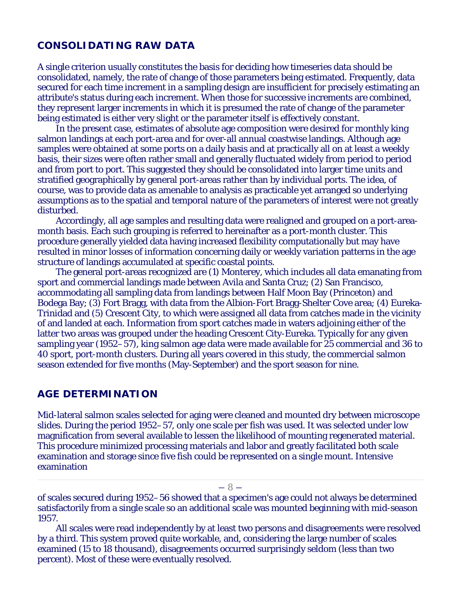# **CONSOLIDATING RAW DATA**

A single criterion usually constitutes the basis for deciding how timeseries data should be consolidated, namely, the rate of change of those parameters being estimated. Frequently, data secured for each time increment in a sampling design are insufficient for precisely estimating an attribute's status during each increment. When those for successive increments are combined, they represent larger increments in which it is presumed the rate of change of the parameter being estimated is either very slight or the parameter itself is effectively constant.

In the present case, estimates of absolute age composition were desired for monthly king salmon landings at each port-area and for over-all annual coastwise landings. Although age samples were obtained at some ports on a daily basis and at practically all on at least a weekly basis, their sizes were often rather small and generally fluctuated widely from period to period and from port to port. This suggested they should be consolidated into larger time units and stratified geographically by general port-areas rather than by individual ports. The idea, of course, was to provide data as amenable to analysis as practicable yet arranged so underlying assumptions as to the spatial and temporal nature of the parameters of interest were not greatly disturbed.

Accordingly, all age samples and resulting data were realigned and grouped on a port-areamonth basis. Each such grouping is referred to hereinafter as a port-month cluster. This procedure generally yielded data having increased flexibility computationally but may have resulted in minor losses of information concerning daily or weekly variation patterns in the age structure of landings accumulated at specific coastal points.

The general port-areas recognized are (1) Monterey, which includes all data emanating from sport and commercial landings made between Avila and Santa Cruz; (2) San Francisco, accommodating all sampling data from landings between Half Moon Bay (Princeton) and Bodega Bay; (3) Fort Bragg, with data from the Albion-Fort Bragg-Shelter Cove area; (4) Eureka-Trinidad and (5) Crescent City, to which were assigned all data from catches made in the vicinity of and landed at each. Information from sport catches made in waters adjoining either of the latter two areas was grouped under the heading Crescent City-Eureka. Typically for any given sampling year (1952–57), king salmon age data were made available for 25 commercial and 36 to 40 sport, port-month clusters. During all years covered in this study, the commercial salmon season extended for five months (May-September) and the sport season for nine.

#### **AGE DETERMINATION**

Mid-lateral salmon scales selected for aging were cleaned and mounted dry between microscope slides. During the period 1952–57, only one scale per fish was used. It was selected under low magnification from several available to lessen the likelihood of mounting regenerated material. This procedure minimized processing materials and labor and greatly facilitated both scale examination and storage since five fish could be represented on a single mount. Intensive examination

#### $-8-$

of scales secured during 1952–56 showed that a specimen's age could not always be determined satisfactorily from a single scale so an additional scale was mounted beginning with mid-season 1957.

All scales were read independently by at least two persons and disagreements were resolved by a third. This system proved quite workable, and, considering the large number of scales examined (15 to 18 thousand), disagreements occurred surprisingly seldom (less than two percent). Most of these were eventually resolved.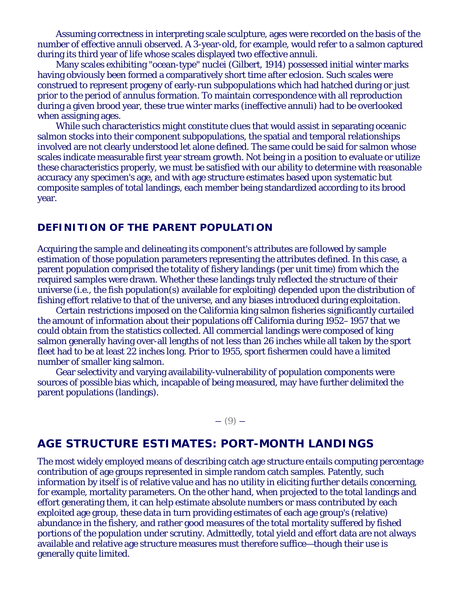Assuming correctness in interpreting scale sculpture, ages were recorded on the basis of the number of effective annuli observed. A 3-year-old, for example, would refer to a salmon captured during its third year of life whose scales displayed two effective annuli.

Many scales exhibiting "ocean-type" nuclei (Gilbert, 1914) possessed initial winter marks having obviously been formed a comparatively short time after eclosion. Such scales were construed to represent progeny of early-run subpopulations which had hatched during or just prior to the period of annulus formation. To maintain correspondence with all reproduction during a given brood year, these true winter marks (ineffective annuli) had to be overlooked when assigning ages.

While such characteristics might constitute clues that would assist in separating oceanic salmon stocks into their component subpopulations, the spatial and temporal relationships involved are not clearly understood let alone defined. The same could be said for salmon whose scales indicate measurable first year stream growth. Not being in a position to evaluate or utilize these characteristics properly, we must be satisfied with our ability to determine with reasonable accuracy any specimen's age, and with age structure estimates based upon systematic but composite samples of total landings, each member being standardized according to its brood year.

# **DEFINITION OF THE PARENT POPULATION**

Acquiring the sample and delineating its component's attributes are followed by sample estimation of those population parameters representing the attributes defined. In this case, a parent population comprised the totality of fishery landings (per unit time) from which the required samples were drawn. Whether these landings truly reflected the structure of their universe (*i.e.,* the fish population(s) available for exploiting) depended upon the distribution of fishing effort relative to that of the universe, and any biases introduced during exploitation.

Certain restrictions imposed on the California king salmon fisheries significantly curtailed the amount of information about their populations off California during 1952–1957 that we could obtain from the statistics collected. All commercial landings were composed of king salmon generally having over-all lengths of not less than 26 inches while all taken by the sport fleet had to be at least 22 inches long. Prior to 1955, sport fishermen could have a limited number of smaller king salmon.

Gear selectivity and varying availability-vulnerability of population components were sources of possible bias which, incapable of being measured, may have further delimited the parent populations (landings).

 $- (9) -$ 

# **AGE STRUCTURE ESTIMATES: PORT-MONTH LANDINGS**

The most widely employed means of describing catch age structure entails computing percentage contribution of age groups represented in simple random catch samples. Patently, such information by itself is of relative value and has no utility in eliciting further details concerning, for example, mortality parameters. On the other hand, when projected to the total landings and effort generating them, it can help estimate absolute numbers or mass contributed by each exploited age group, these data in turn providing estimates of each age group's (relative) abundance in the fishery, and rather good measures of the total mortality suffered by fished portions of the population under scrutiny. Admittedly, total yield and effort data are not always available and relative age structure measures must therefore suffice—though their use is generally quite limited.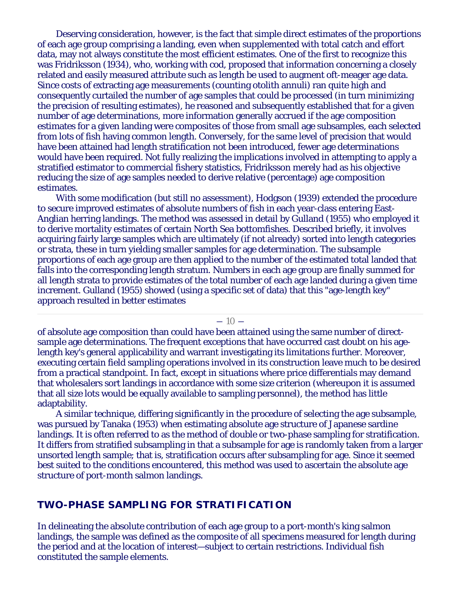Deserving consideration, however, is the fact that simple direct estimates of the proportions of each age group comprising a landing, even when supplemented with total catch and effort data, may not always constitute the most efficient estimates. One of the first to recognize this was Fridriksson (1934), who, working with cod, proposed that information concerning a closely related and easily measured attribute such as length be used to augment oft-meager age data. Since costs of extracting age measurements (counting otolith annuli) ran quite high and consequently curtailed the number of age samples that could be processed (in turn minimizing the precision of resulting estimates), he reasoned and subsequently established that for a given number of age determinations, more information generally accrued if the age composition estimates for a given landing were composites of those from small age subsamples, each selected from lots of fish having common length. Conversely, for the same level of precision that would have been attained had length stratification not been introduced, fewer age determinations would have been required. Not fully realizing the implications involved in attempting to apply a stratified estimator to commercial fishery statistics, Fridriksson merely had as his objective reducing the size of age samples needed to derive relative (percentage) age composition estimates.

With some modification (but still no assessment), Hodgson (1939) extended the procedure to secure improved estimates of absolute numbers of fish in each year-class entering East-Anglian herring landings. The method was assessed in detail by Gulland (1955) who employed it to derive mortality estimates of certain North Sea bottomfishes. Described briefly, it involves acquiring fairly large samples which are ultimately (if not already) sorted into length categories or strata, these in turn yielding smaller samples for age determination. The subsample proportions of each age group are then applied to the number of the estimated total landed that falls into the corresponding length stratum. Numbers in each age group are finally summed for all length strata to provide estimates of the total number of each age landed during a given time increment. Gulland (1955) showed (using a specific set of data) that this "age-length key" approach resulted in better estimates

 $-10-$ 

of absolute age composition than could have been attained using the same number of directsample age determinations. The frequent exceptions that have occurred cast doubt on his agelength key's general applicability and warrant investigating its limitations further. Moreover, executing certain field sampling operations involved in its construction leave much to be desired from a practical standpoint. In fact, except in situations where price differentials may demand that wholesalers sort landings in accordance with some size criterion (whereupon it is assumed that all size lots would be equally available to sampling personnel), the method has little adaptability.

A similar technique, differing significantly in the procedure of selecting the age subsample, was pursued by Tanaka (1953) when estimating absolute age structure of Japanese sardine landings. It is often referred to as the method of double or two-phase sampling for stratification. It differs from stratified subsampling in that a subsample for age is randomly taken from a larger unsorted length sample; that is, stratification occurs after subsampling for age. Since it seemed best suited to the conditions encountered, this method was used to ascertain the absolute age structure of port-month salmon landings.

# **TWO-PHASE SAMPLING FOR STRATIFICATION**

In delineating the absolute contribution of each age group to a port-month's king salmon landings, the sample was defined as the composite of all specimens measured for length during the period and at the location of interest—subject to certain restrictions. Individual fish constituted the sample elements.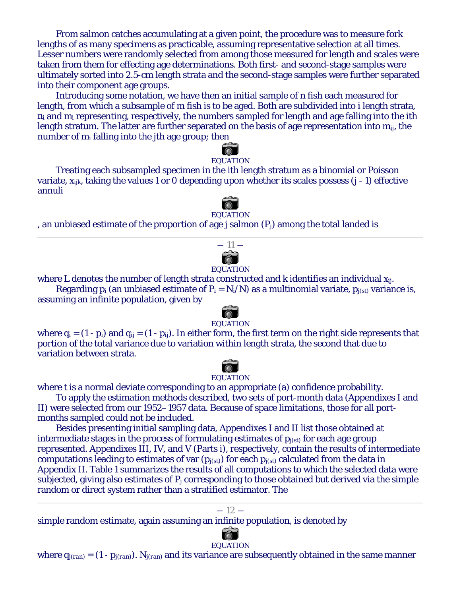From salmon catches accumulating at a given point, the procedure was to measure fork lengths of as many specimens as practicable, assuming representative selection at all times. Lesser numbers were randomly selected from among those measured for length and scales were taken from them for effecting age determinations. Both first- and second-stage samples were ultimately sorted into 2.5-cm length strata and the second-stage samples were further separated into their component age groups.

Introducing some notation, we have then an initial sample of *n* fish each measured for length, from which a subsample of *m* fish is to be aged. Both are subdivided into *i* length strata, *ni* and *mi* representing, respectively, the numbers sampled for length and age falling into the *i*th length stratum. The latter are further separated on the basis of age representation into *mij*, the number of *mi* falling into the *j*th age group; then

# EQUATION

Treating each subsampled specimen in the *i*th length stratum as a binomial or Poisson variate, *xijk*, taking the values 1 or 0 depending upon whether its scales possess (*j* - 1) effective annuli

EQUATION

, an unbiased estimate of the proportion of age *j* salmon (*Pj*) among the total landed is



#### EQUATION

where *L* denotes the number of length strata constructed and *k* identifies an individual *xij*. Regarding  $p_i$  (an unbiased estimate of  $P_i = N_i/N$ ) as a multinomial variate,  $p_{i(st)}$  variance is, assuming an infinite population, given by



where  $q_i = (1 - p_i)$  and  $q_{ij} = (1 - p_{ij})$ . In either form, the first term on the right side represents that portion of the total variance due to variation within length strata, the second that due to variation between strata.



# **EQUATION**

where *t* is a normal deviate corresponding to an appropriate (a) confidence probability.

To apply the estimation methods described, two sets of port-month data (Appendixes I and II) were selected from our 1952–1957 data. Because of space limitations, those for all portmonths sampled could not be included.

Besides presenting initial sampling data, Appendixes I and II list those obtained at intermediate stages in the process of formulating estimates of  $p_{i(s,t)}$  for each age group represented. Appendixes III, IV, and V (Parts i), respectively, contain the results of intermediate computations leading to estimates of var (*pj(st)*) for each *pj(st)* calculated from the data in Appendix II. Table 1 summarizes the results of all computations to which the selected data were subjected, giving also estimates of *Pj* corresponding to those obtained but derived via the simple random or direct system rather than a stratified estimator. The

#### $-12-$

simple random estimate, again assuming an infinite population, is denoted by



EQUATION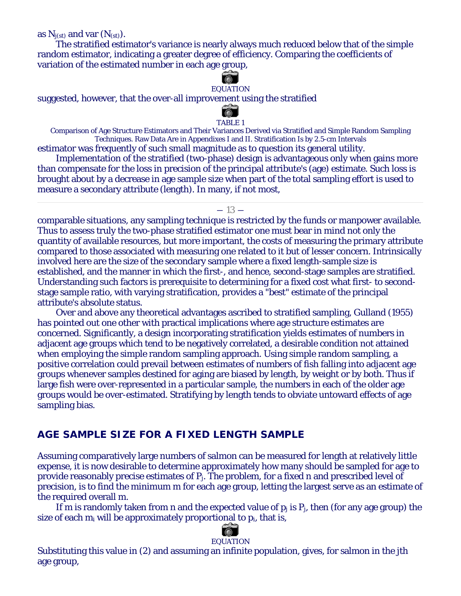as  $N_{i(st)}$  and var  $(N_{(st)})$ .

The stratified estimator's variance is nearly always much reduced below that of the simple random estimator, indicating a greater degree of efficiency. Comparing the coefficients of variation of the estimated number in each age group,



#### EQUATION

suggested, however, that the over-all improvement using the stratified



TABLE 1

Comparison of Age Structure Estimators and Their Variances Derived via Stratified and Simple Random Sampling Techniques. Raw Data Are in Appendixes I and II. Stratification Is by 2.5-cm Intervals estimator was frequently of such small magnitude as to question its general utility.

Implementation of the stratified (two-phase) design is advantageous only when gains more than compensate for the loss in precision of the principal attribute's (age) estimate. Such loss is brought about by a decrease in age sample size when part of the total sampling effort is used to measure a secondary attribute (length). In many, if not most,

#### $-13-$

comparable situations, any sampling technique is restricted by the funds or manpower available. Thus to assess truly the two-phase stratified estimator one must bear in mind not only the quantity of available resources, but more important, the costs of measuring the primary attribute compared to those associated with measuring one related to it but of lesser concern. Intrinsically involved here are the size of the secondary sample where a fixed length-sample size is established, and the manner in which the first-, and hence, second-stage samples are stratified. Understanding such factors is prerequisite to determining for a fixed cost what first- to secondstage sample ratio, with varying stratification, provides a "best" estimate of the principal attribute's absolute status.

Over and above any theoretical advantages ascribed to stratified sampling, Gulland (1955) has pointed out one other with practical implications where age structure estimates are concerned. Significantly, a design incorporating stratification yields estimates of numbers in adjacent age groups which tend to be negatively correlated, a desirable condition not attained when employing the simple random sampling approach. Using simple random sampling, a positive correlation could prevail between estimates of numbers of fish falling into adjacent age groups whenever samples destined for aging are biased by length, by weight or by both. Thus if large fish were over-represented in a particular sample, the numbers in each of the older age groups would be over-estimated. Stratifying by length tends to obviate untoward effects of age sampling bias.

# **AGE SAMPLE SIZE FOR A FIXED LENGTH SAMPLE**

Assuming comparatively large numbers of salmon can be measured for length at relatively little expense, it is now desirable to determine approximately how many should be sampled for age to provide reasonably precise estimates of *Pj*. The problem, for a fixed *n* and prescribed level of precision, is to find the minimum *m* for each age group, letting the largest serve as an estimate of the required overall *m*.

If *m* is randomly taken from *n* and the expected value of  $p_j$  is  $P_j$ , then (for any age group) the size of each *mi* will be approximately proportional to *pi*, that is,



#### EQUATION

Substituting this value in (2) and assuming an infinite population, gives, for salmon in the *j*th age group,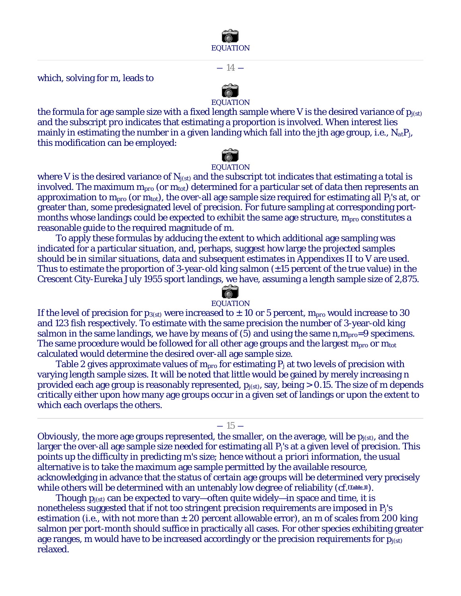

 $-14-$ 

which, solving for *m*, leads to

EQUATION the formula for age sample size with a fixed length sample where *V* is the desired variance of  $p_{i(s)}$ and the subscript *pro* indicates that estimating a proportion is involved. When interest lies mainly in estimating the number in a given landing which fall into the *j*th age group, *i.e.*, *NatPj*, this modification can be employed:



where *V* is the desired variance of *Nj(st)* and the subscript *tot* indicates that estimating a total is involved. The maximum *mpro* (or *mtot*) determined for a particular set of data then represents an approximation to *mpro* (or *mtot*), the over-all age sample size required for estimating all *Pj*'s at, or greater than, some predesignated level of precision. For future sampling at corresponding portmonths whose landings could be expected to exhibit the same age structure, *mpro* constitutes a reasonable guide to the required magnitude of *m*.

To apply these formulas by adducing the extent to which additional age sampling was indicated for a particular situation, and, perhaps, suggest how large the projected samples should be in similar situations, data and subsequent estimates in Appendixes II to V are used. Thus to estimate the proportion of 3-year-old king salmon  $(\pm 15$  percent of the true value) in the Crescent City-Eureka July 1955 sport landings, we have, assuming a length sample size of 2,875.

# EQUATION

If the level of precision for  $p_{3(st)}$  were increased to  $\pm 10$  or 5 percent,  $m_{pro}$  would increase to 30 and 123 fish respectively. To estimate with the same precision the number of 3-year-old king salmon in the same landings, we have by means of (5) and using the same *n*,*mpro*=9 specimens. The same procedure would be followed for all other age groups and the largest *mpro* or *mtot* calculated would determine the desired over-all age sample size.

Table 2 gives approximate values of *mpro* for estimating *Pj* at two levels of precision with varying length sample sizes. It will be noted that little would be gained by merely increasing *n* provided each age group is reasonably represented, *pj(st)*, say, being > 0.15. The size of *m* depends critically either upon how many age groups occur in a given set of landings or upon the extent to which each overlaps the others.

 $-15-$ 

Obviously, the more age groups represented, the smaller, on the average, will be *pj(st)*, and the larger the over-all age sample size needed for estimating all *Pj*'s at a given level of precision. This points up the difficulty in predicting *m*'s size; hence without *a priori* information, the usual alternative is to take the maximum age sample permitted by the available resource, acknowledging in advance that the status of certain age groups will be determined very precisely while others will be determined with an untenably low degree of reliability (*cf.* [Table 1]).

Though *pj(st)* can be expected to vary—often quite widely—in space and time, it is nonetheless suggested that if not too stringent precision requirements are imposed in *Pj*'s estimation (*i.e.*, with not more than ± 20 percent allowable error), an *m* of scales from 200 king salmon per port-month should suffice in practically all cases. For other species exhibiting greater age ranges, *m* would have to be increased accordingly or the precision requirements for  $p_{i(st)}$ relaxed.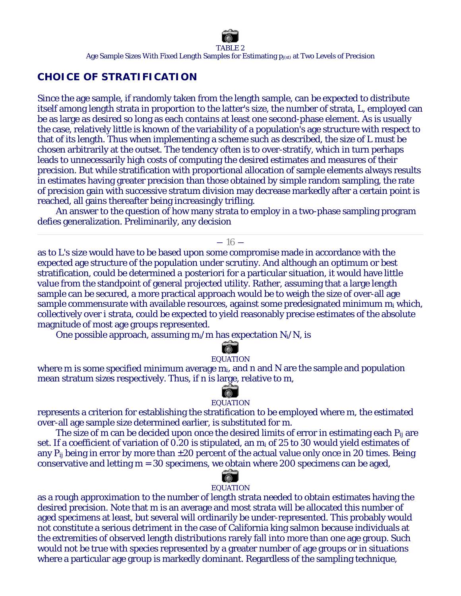# **CHOICE OF STRATIFICATION**

Since the age sample, if randomly taken from the length sample, can be expected to distribute itself among length strata in proportion to the latter's size, the number of strata, *L*, employed can be as large as desired so long as each contains at least one second-phase element. As is usually the case, relatively little is known of the variability of a population's age structure with respect to that of its length. Thus when implementing a scheme such as described, the size of *L* must be chosen arbitrarily at the outset. The tendency often is to over-stratify, which in turn perhaps leads to unnecessarily high costs of computing the desired estimates and measures of their precision. But while stratification with proportional allocation of sample elements always results in estimates having greater precision than those obtained by simple random sampling, the rate of precision gain with successive stratum division may decrease markedly after a certain point is reached, all gains thereafter being increasingly trifling.

An answer to the question of how many strata to employ in a two-phase sampling program defies generalization. Preliminarily, any decision

#### $-16-$

as to *L*'s size would have to be based upon some compromise made in accordance with the expected age structure of the population under scrutiny. And although an optimum or best stratification, could be determined *a posteriori* for a particular situation, it would have little value from the standpoint of general projected utility. Rather, assuming that a large length sample can be secured, a more practical approach would be to weigh the size of over-all age sample commensurate with available resources, against some predesignated minimum *mi* which, collectively over *i* strata, could be expected to yield reasonably precise estimates of the absolute magnitude of most age groups represented.

One possible approach, assuming *mi/m* has expectation *Ni/N*, is

# EQUATION

where *m* is some specified minimum average *mi*, and *n* and *N* are the sample and population mean stratum sizes respectively. Thus, if *n* is large, relative to *m*,

#### 商 EQUATION

represents a criterion for establishing the stratification to be employed where *m*, the estimated over-all age sample size determined earlier, is substituted for *m*.

The size of *m* can be decided upon once the desired limits of error in estimating each *Pij* are set. If a coefficient of variation of 0.20 is stipulated, an *mi* of 25 to 30 would yield estimates of any  $P_{ij}$  being in error by more than  $\pm 20$  percent of the actual value only once in 20 times. Being conservative and letting *m* = 30 specimens, we obtain where 200 specimens can be aged,

# EQUATION

as a rough approximation to the number of length strata needed to obtain estimates having the desired precision. Note that *m* is an average and most strata will be allocated this number of aged specimens at least, but several will ordinarily be under-represented. This probably would not constitute a serious detriment in the case of California king salmon because individuals at the extremities of observed length distributions rarely fall into more than one age group. Such would not be true with species represented by a greater number of age groups or in situations where a particular age group is markedly dominant. Regardless of the sampling technique,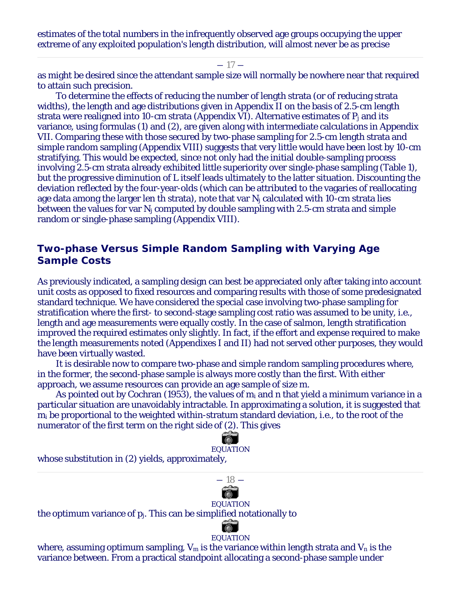estimates of the total numbers in the infrequently observed age groups occupying the upper extreme of any exploited population's length distribution, will almost never be as precise

 $-17-$ 

as might be desired since the attendant sample size will normally be nowhere near that required to attain such precision.

To determine the effects of reducing the number of length strata (or of reducing strata widths), the length and age distributions given in Appendix II on the basis of 2.5-cm length strata were realigned into 10-cm strata (Appendix VI). Alternative estimates of *Pj* and its variance, using formulas (1) and (2), are given along with intermediate calculations in Appendix VII. Comparing these with those secured by two-phase sampling for 2.5-cm length strata and simple random sampling (Appendix VIII) suggests that very little would have been lost by 10-cm stratifying. This would be expected, since not only had the initial double-sampling process involving 2.5-cm strata already exhibited little superiority over single-phase sampling (Table 1), but the progressive diminution of *L* itself leads ultimately to the latter situation. Discounting the deviation reflected by the four-year-olds (which can be attributed to the vagaries of reallocating age data among the larger len th strata), note that var *Nj* calculated with 10-cm strata lies between the values for var *Nj* computed by double sampling with 2.5-cm strata and simple random or single-phase sampling (Appendix VIII).

# **Two-phase Versus Simple Random Sampling with Varying Age Sample Costs**

As previously indicated, a sampling design can best be appreciated only after taking into account unit costs as opposed to fixed resources and comparing results with those of some predesignated standard technique. We have considered the special case involving two-phase sampling for stratification where the first- to second-stage sampling cost ratio was assumed to be unity, *i.e.*, length and age measurements were equally costly. In the case of salmon, length stratification improved the required estimates only slightly. In fact, if the effort and expense required to make the length measurements noted (Appendixes I and II) had not served other purposes, they would have been virtually wasted.

It is desirable now to compare two-phase and simple random sampling procedures where, in the former, the second-phase sample is always more costly than the first. With either approach, we assume resources can provide an age sample of size *m*.

As pointed out by Cochran (1953), the values of *mi* and *n* that yield a minimum variance in a particular situation are unavoidably intractable. In approximating a solution, it is suggested that *mi* be proportional to the weighted within-stratum standard deviation, *i.e.*, to the root of the numerator of the first term on the right side of (2). This gives

荷 EQUATION whose substitution in (2) yields, approximately,



#### EQUATION

the optimum variance of *pj*. This can be simplified notationally to



#### EQUATION

where, assuming optimum sampling,  $V_m$  is the variance within length strata and  $V_n$  is the variance between. From a practical standpoint allocating a second-phase sample under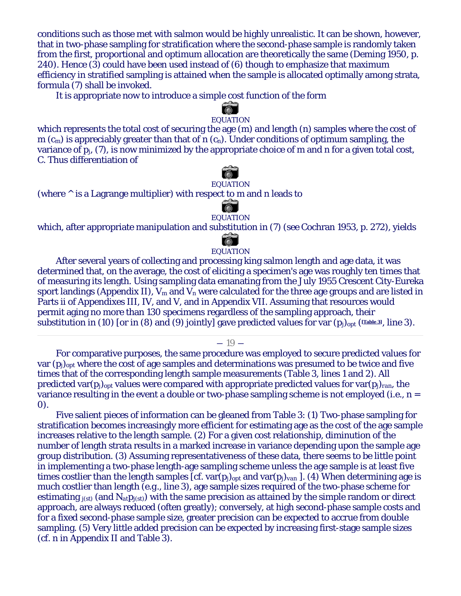conditions such as those met with salmon would be highly unrealistic. It can be shown, however, that in two-phase sampling for stratification where the second-phase sample is randomly taken from the first, proportional and optimum allocation are theoretically the same (Deming 1950, p. 240). Hence (3) could have been used instead of (6) though to emphasize that maximum efficiency in stratified sampling is attained when the sample is allocated optimally among strata, formula (7) shall be invoked.

It is appropriate now to introduce a simple cost function of the form

# EQUATION

which represents the total cost of securing the age (*m*) and length (*n*) samples where the cost of *m* (*cm*) is appreciably greater than that of *n* (*cn*). Under conditions of optimum sampling, the variance of *pj*, (7), is now minimized by the appropriate choice of *m* and *n* for a given total cost, *C*. Thus differentiation of

# EQUATION

(where ^ is a Lagrange multiplier) with respect to *m* and *n* leads to

#### EQUATION

which, after appropriate manipulation and substitution in (7) (*see* Cochran 1953, p. 272), yields

# EQUATION

After several years of collecting and processing king salmon length and age data, it was determined that, on the average, the cost of eliciting a specimen's age was roughly ten times that of measuring its length. Using sampling data emanating from the July 1955 Crescent City-Eureka sport landings (Appendix II), *Vm* and *Vn* were calculated for the three age groups and are listed in Parts ii of Appendixes III, IV, and V, and in Appendix VII. Assuming that resources would permit aging no more than 130 specimens regardless of the sampling approach, their substitution in (10) [or in (8) and (9) jointly] gave predicted values for var  $(p_j)_{opt}$  ([Table 3], line 3).

 $-19-$ 

For comparative purposes, the same procedure was employed to secure predicted values for var (*pj*)*opt* where the cost of age samples and determinations was presumed to be twice and five times that of the corresponding length sample measurements (Table 3, lines 1 and 2). All predicted var $(p_i)_{opt}$  values were compared with appropriate predicted values for var $(p_i)_{ran}$ , the variance resulting in the event a double or two-phase sampling scheme is not employed (*i.e.*, *n* = 0).

Five salient pieces of information can be gleaned from Table 3: (1) Two-phase sampling for stratification becomes increasingly more efficient for estimating age as the cost of the age sample increases relative to the length sample. (2) For a given cost relationship, diminution of the number of length strata results in a marked increase in variance depending upon the sample age group distribution. (3) Assuming representativeness of these data, there seems to be little point in implementing a two-phase length-age sampling scheme unless the age sample is at least five times costlier than the length samples  $[cf. var(p_i)_{opt}$  and  $var(p_i)_{van}$  ]. (4) When determining age is much costlier than length (*e.g.*, line 3), age sample sizes required of the two-phase scheme for estimating *j(st)* (and *Natpj(st)*) with the same precision as attained by the simple random or direct approach, are always reduced (often greatly); conversely, at high second-phase sample costs and for a fixed second-phase sample size, greater precision can be expected to accrue from double sampling. (5) Very little added precision can be expected by increasing first-stage sample sizes (*cf. n* in Appendix II and Table 3).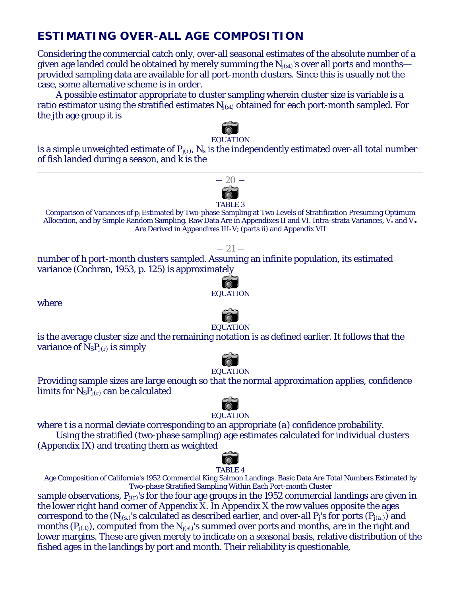# **ESTIMATING OVER-ALL AGE COMPOSITION**

Considering the commercial catch only, over-all seasonal estimates of the absolute number of a given age landed could be obtained by merely summing the *Nj(st)*'s over all ports and months provided sampling data are available for all port-month clusters. Since this is usually not the case, some alternative scheme is in order.

A possible estimator appropriate to cluster sampling wherein cluster size is variable is a ratio estimator using the stratified estimates *Nj(st)* obtained for each port-month sampled. For the *j*th age group it is



#### EQUATION

is a simple unweighted estimate of  $P_{j(r)}$ ,  $N_s$  is the independently estimated over-all total number of fish landed during a season, and *k* is the



Comparison of Variances of *pj* Estimated by Two-phase Sampling at Two Levels of Stratification Presuming Optimum Allocation, and by Simple Random Sampling. Raw Data Are in Appendixes II and VI. Intra-strata Variances, *Vn* and *Vm* Are Derived in Appendixes III-V; (parts ii) and Appendix VII

#### $-21-$

number of *h* port-month clusters sampled. Assuming an infinite population, its estimated variance (Cochran, 1953, p. 125) is approximately

where



#### EQUATION

is the average cluster size and the remaining notation is as defined earlier. It follows that the variance of *NSPj(r)* is simply



## Providing sample sizes are large enough so that the normal approximation applies, confidence limits for *NSPj(r)* can be calculated



#### **EQUATION**

where *t* is a normal deviate corresponding to an appropriate (*a*) confidence probability. Using the stratified (two-phase sampling) age estimates calculated for individual clusters

(Appendix IX) and treating them as weighted



Age Composition of California's 1952 Commercial King Salmon Landings. Basic Data Are Total Numbers Estimated by Two-phase Stratified Sampling Within Each Port-month Cluster

sample observations, *Pj(r)*'s for the four age groups in the 1952 commercial landings are given in the lower right hand corner of Appendix X. In Appendix X the row values opposite the ages correspond to the  $(N_{j(s)})$ 's calculated as described earlier, and over-all  $P_j$ 's for ports  $(P_{j(a)})$  and months (*Pj(.t)*), computed from the *Nj(st)*'s summed over ports and months, are in the right and lower margins. These are given merely to indicate on a seasonal basis, relative distribution of the fished ages in the landings by port and month. Their reliability is questionable,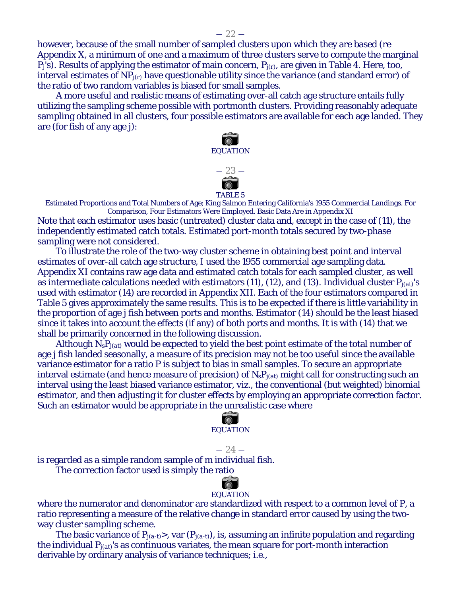$-22-$ 

however, because of the small number of sampled clusters upon which they are based (*re* Appendix X, a minimum of one and a maximum of three clusters serve to compute the marginal *Pj*'s). Results of applying the estimator of main concern, *Pj(r)*, are given in Table 4. Here, too, interval estimates of *NPj(r)* have questionable utility since the variance (and standard error) of the ratio of two random variables is biased for small samples.

A more useful and realistic means of estimating over-all catch age structure entails fully utilizing the sampling scheme possible with portmonth clusters. Providing reasonably adequate sampling obtained in all clusters, four possible estimators are available for each age landed. They are (for fish of any age *j*):





― 23 ―

Estimated Proportions and Total Numbers of Age; King Salmon Entering California's 1955 Commercial Landings. For Comparison, Four Estimators Were Employed. Basic Data Are in Appendix XI

Note that each estimator uses basic (untreated) cluster data and, except in the case of (11), the independently estimated catch totals. Estimated port-month totals secured by two-phase sampling were not considered.

To illustrate the role of the two-way cluster scheme in obtaining best point and interval estimates of over-all catch age structure, I used the 1955 commercial age sampling data. Appendix XI contains raw age data and estimated catch totals for each sampled cluster, as well as intermediate calculations needed with estimators (11), (12), and (13). Individual cluster *Pj(at)*'s used with estimator (14) are recorded in Appendix XII. Each of the four estimators compared in Table 5 gives approximately the same results. This is to be expected if there is little variability in the proportion of age *j* fish between ports and months. Estimator (14) should be the least biased since it takes into account the effects (if any) of both ports and months. It is with (14) that we shall be primarily concerned in the following discussion.

Although *NsPj(at)* would be expected to yield the best point estimate of the total number of age *j* fish landed seasonally, a measure of its precision may not be too useful since the available variance estimator for a ratio *P* is subject to bias in small samples. To secure an appropriate interval estimate (and hence measure of precision) of *N<sub>s</sub>P<sub>j(at)</sub>* might call for constructing such an interval using the least biased variance estimator, *viz.,* the conventional (but weighted) binomial estimator, and then adjusting it for cluster effects by employing an appropriate correction factor. Such an estimator would be appropriate in the unrealistic case where



 $-24-$ 

is regarded as a simple random sample of *m* individual fish.

The correction factor used is simply the ratio

# EQUATION

where the numerator and denominator are standardized with respect to a common level of *P,* a ratio representing a measure of the relative change in standard error caused by using the twoway cluster sampling scheme.

The basic variance of *Pj(a-t)*>, var (*Pj(a-t)*), is, assuming an infinite population and regarding the individual *Pj(at)*'s as continuous variates, the mean square for port-month interaction derivable by ordinary analysis of variance techniques; *i.e.,*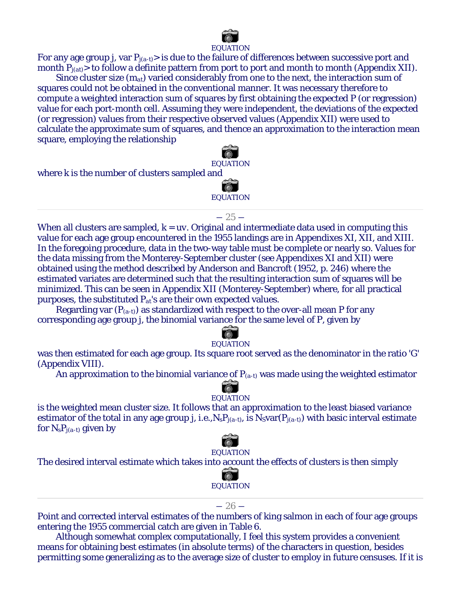

#### EQUATION

For any age group *j,* var *Pj(a-t)*> is due to the failure of differences between successive port and month  $P_{j(at)}$  to follow a definite pattern from port to port and month to month (Appendix XII).

Since cluster size (*mat*) varied considerably from one to the next, the interaction sum of squares could not be obtained in the conventional manner. It was necessary therefore to compute a weighted interaction sum of squares by first obtaining the expected *P* (or regression) value for each port-month cell. Assuming they were independent, the deviations of the expected (or regression) values from their respective observed values (Appendix XII) were used to calculate the approximate sum of squares, and thence an approximation to the interaction mean square, employing the relationship

EQUATION where *k* is the number of clusters sampled and EQUATION

#### $-25-$

When all clusters are sampled,  $k = uv$ . Original and intermediate data used in computing this value for each age group encountered in the 1955 landings are in Appendixes XI, XII, and XIII. In the foregoing procedure, data in the two-way table must be complete or nearly so. Values for the data missing from the Monterey-September cluster (*see* Appendixes XI and XII) were obtained using the method described by Anderson and Bancroft (1952, p. 246) where the estimated variates are determined such that the resulting interaction sum of squares will be minimized. This can be seen in Appendix XII (Monterey-September) where, for all practical purposes, the substituted *Pat*'s are their own expected values.

Regarding var (*P(a-t)*) as standardized with respect to the over-all mean *P* for any corresponding age group *j,* the binomial variance for the same level of *P*, given by

# EQUATION

was then estimated for each age group. Its square root served as the denominator in the ratio 'G' (Appendix VIII).

An approximation to the binomial variance of *P(a-t)* was made using the weighted estimator

# EQUATION

is the weighted mean cluster size. It follows that an approximation to the least biased variance estimator of the total in any age group *j, i.e., N<sub>s</sub>P<sub>j(a-t)</sub>*, is  $N_S\text{var}(P_{i(a-t)})$  with basic interval estimate for *NsPj(a-t)* given by



The desired interval estimate which takes into account the effects of clusters is then simply



#### $-26-$

Point and corrected interval estimates of the numbers of king salmon in each of four age groups entering the 1955 commercial catch are given in Table 6.

Although somewhat complex computationally, I feel this system provides a convenient means for obtaining best estimates (in absolute terms) of the characters in question, besides permitting some generalizing as to the average size of cluster to employ in future censuses. If it is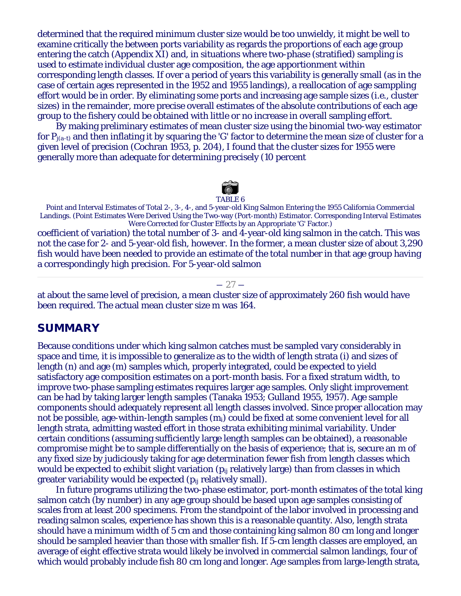determined that the required minimum cluster size would be too unwieldy, it might be well to examine critically the between ports variability as regards the proportions of each age group entering the catch (Appendix XI) and, in situations where two-phase (stratified) sampling is used to estimate individual cluster age composition, the age apportionment within corresponding length classes. If over a period of years this variability is generally small (as in the case of certain ages represented in the 1952 and 1955 landings), a reallocation of age samppling effort would be in order. By eliminating some ports and increasing age sample sizes (*i.e.,* cluster sizes) in the remainder, more precise overall estimates of the absolute contributions of each age group to the fishery could be obtained with little or no increase in overall sampling effort.

By making preliminary estimates of mean cluster size using the binomial two-way estimator for  $P_{i(a-t)}$  and then inflating it by squaring the 'G' factor to determine the mean size of cluster for a given level of precision (Cochran 1953, p. 204), I found that the cluster sizes for 1955 were generally more than adequate for determining precisely (10 percent



Point and Interval Estimates of Total 2-, 3-, 4-, and 5-year-old King Salmon Entering the 1955 California Commercial Landings. (Point Estimates Were Derived Using the Two-way (Port-month) Estimator. Corresponding Interval Estimates Were Corrected for Cluster Effects by an Appropriate 'G' Factor.)

coefficient of variation) the total number of 3- and 4-year-old king salmon in the catch. This was not the case for 2- and 5-year-old fish, however. In the former, a mean cluster size of about 3,290 fish would have been needed to provide an estimate of the total number in that age group having a correspondingly high precision. For 5-year-old salmon

#### $-27-$

at about the same level of precision, a mean cluster size of approximately 260 fish would have been required. The actual mean cluster size *m* was 164.

# **SUMMARY**

Because conditions under which king salmon catches must be sampled vary considerably in space and time, it is impossible to generalize as to the width of length strata (*i*) and sizes of length (*n*) and age (*m*) samples which, properly integrated, could be expected to yield satisfactory age composition estimates on a port-month basis. For a fixed stratum width, to improve two-phase sampling estimates requires larger age samples. Only slight improvement can be had by taking larger length samples (Tanaka 1953; Gulland 1955, 1957). Age sample components should adequately represent all length classes involved. Since proper allocation may not be possible, age-within-length samples (*mi*) could be fixed at some convenient level for all length strata, admitting wasted effort in those strata exhibiting minimal variability. Under certain conditions (assuming sufficiently large length samples can be obtained), a reasonable compromise might be to sample differentially on the basis of experience; that is, secure an *m* of any fixed size by judiciously taking for age determination fewer fish from length classes which would be expected to exhibit slight variation (*pij* relatively large) than from classes in which greater variability would be expected (*pij* relatively small).

In future programs utilizing the two-phase estimator, port-month estimates of the total king salmon catch (by number) in any age group should be based upon age samples consisting of scales from at least 200 specimens. From the standpoint of the labor involved in processing and reading salmon scales, experience has shown this is a reasonable quantity. Also, length strata should have a minimum width of 5 cm and those containing king salmon 80 cm long and longer should be sampled heavier than those with smaller fish. If 5-cm length classes are employed, an average of eight effective strata would likely be involved in commercial salmon landings, four of which would probably include fish 80 cm long and longer. Age samples from large-length strata,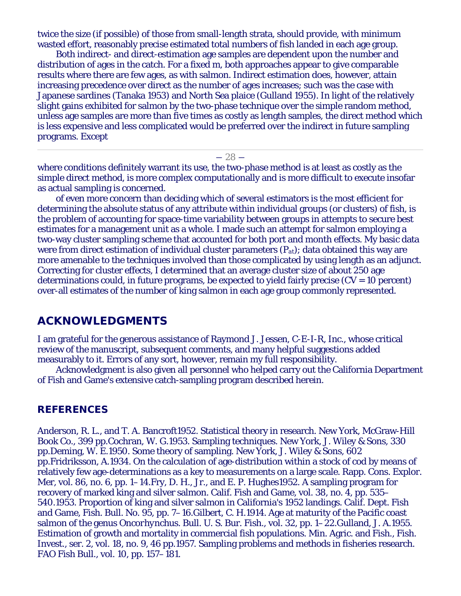twice the size (if possible) of those from small-length strata, should provide, with minimum wasted effort, reasonably precise estimated total numbers of fish landed in each age group.

Both indirect- and direct-estimation age samples are dependent upon the number and distribution of ages in the catch. For a fixed *m,* both approaches appear to give comparable results where there are few ages, as with salmon. Indirect estimation does, however, attain increasing precedence over direct as the number of ages increases; such was the case with Japanese sardines (Tanaka 1953) and North Sea plaice (Gulland 1955). In light of the relatively slight gains exhibited for salmon by the two-phase technique over the simple random method, unless age samples are more than five times as costly as length samples, the direct method which is less expensive and less complicated would be preferred over the indirect in future sampling programs. Except

 $-28-$ 

where conditions definitely warrant its use, the two-phase method is at least as costly as the simple direct method, is more complex computationally and is more difficult to execute insofar as actual sampling is concerned.

of even more concern than deciding which of several estimators is the most efficient for determining the absolute status of any attribute within individual groups (or clusters) of fish, is the problem of accounting for space-time variability between groups in attempts to secure best estimates for a management unit as a whole. I made such an attempt for salmon employing a two-way cluster sampling scheme that accounted for both port and month effects. My basic data were from direct estimation of individual cluster parameters (*Pat*); data obtained this way are more amenable to the techniques involved than those complicated by using length as an adjunct. Correcting for cluster effects, I determined that an average cluster size of about 250 age determinations could, in future programs, be expected to yield fairly precise  $(CV = 10$  percent) over-all estimates of the number of king salmon in each age group commonly represented.

# **ACKNOWLEDGMENTS**

I am grateful for the generous assistance of Raymond J. Jessen, C-E-I-R, Inc., whose critical review of the manuscript, subsequent comments, and many helpful suggestions added measurably to it. Errors of any sort, however, remain my full responsibility.

Acknowledgment is also given all personnel who helped carry out the California Department of Fish and Game's extensive catch-sampling program described herein.

## **REFERENCES**

Anderson, R. L., and T. A. Bancroft1952. Statistical theory in research. New York, McGraw-Hill Book Co., 399 pp.Cochran, W. G.1953. Sampling techniques. New York, J. Wiley & Sons, 330 pp.Deming, W. E.1950. Some theory of sampling. New York, J. Wiley & Sons, 602 pp.Fridriksson, A.1934. On the calculation of age-distribution within a stock of cod by means of relatively few age-determinations as a key to measurements on a large scale. Rapp. Cons. Explor. Mer, vol. 86, no. 6, pp. 1–14.Fry, D. H., Jr., and E. P. Hughes1952. A sampling program for recovery of marked king and silver salmon. Calif. Fish and Game, vol. 38, no. 4, pp. 535– 540.1953. Proportion of king and silver salmon in California's 1952 landings. Calif. Dept. Fish and Game, Fish. Bull. No. 95, pp. 7–16.Gilbert, C. H.1914. Age at maturity of the Pacific coast salmon of the genus *Oncorhynchus*. Bull. U. S. Bur. Fish., vol. 32, pp. 1–22.Gulland, J. A.1955. Estimation of growth and mortality in commercial fish populations. Min. Agric. and Fish., Fish. Invest., ser. 2, vol. 18, no. 9, 46 pp.1957. Sampling problems and methods in fisheries research. FAO Fish Bull., vol. 10, pp. 157–181.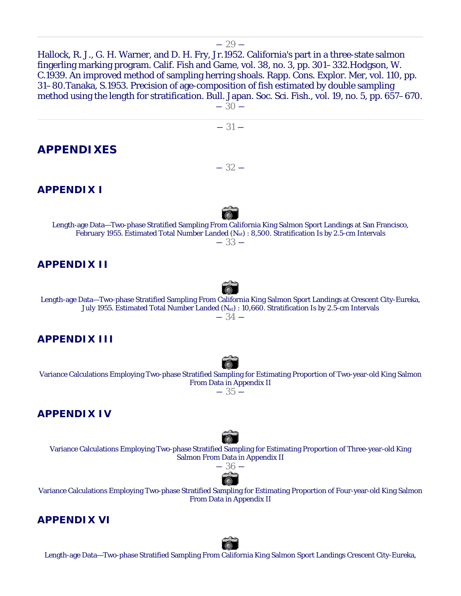Hallock, R. J., G. H. Warner, and D. H. Fry, Jr.1952. California's part in a three-state salmon fingerling marking program. Calif. Fish and Game, vol. 38, no. 3, pp. 301–332.Hodgson, W. C.1939. An improved method of sampling herring shoals. Rapp. Cons. Explor. Mer, vol. 110, pp. 31–80.Tanaka, S.1953. Precision of age-composition of fish estimated by double sampling method using the length for stratification. Bull. Japan. Soc. Sci. Fish., vol. 19, no. 5, pp. 657–670.

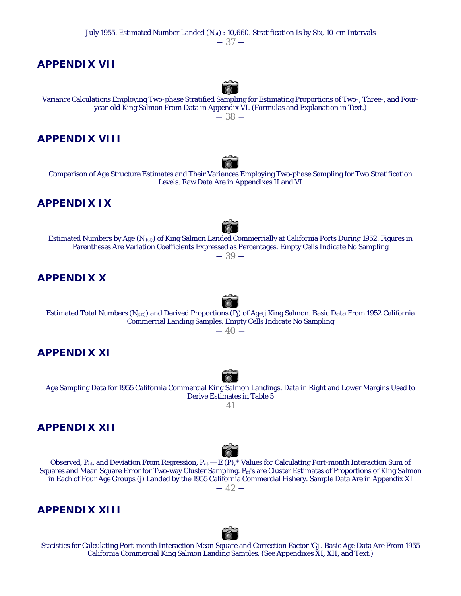$-37-$ 

## **APPENDIX VII**



Variance Calculations Employing Two-phase Stratified Sampling for Estimating Proportions of Two-, Three-, and Fouryear-old King Salmon From Data in Appendix VI. (Formulas and Explanation in Text.)  $-38-$ 

## **APPENDIX VIII**

Comparison of Age Structure Estimates and Their Variances Employing Two-phase Sampling for Two Stratification Levels. Raw Data Are in Appendixes II and VI

# **APPENDIX IX**

Estimated Numbers by Age (*Nj(st)*) of King Salmon Landed Commercially at California Ports During 1952. Figures in Parentheses Are Variation Coefficients Expressed as Percentages. Empty Cells Indicate No Sampling  $-39-$ 

# **APPENDIX X**

Estimated Total Numbers (*Nj(st)*) and Derived Proportions (*Pj*) of Age *j* King Salmon. Basic Data From 1952 California Commercial Landing Samples. Empty Cells Indicate No Sampling  $-40-$ 

# **APPENDIX XI**

Age Sampling Data for 1955 California Commercial King Salmon Landings. Data in Right and Lower Margins Used to Derive Estimates in Table 5

 $-41-$ 

# **APPENDIX XII**



Observed, *Pat*, and Deviation From Regression, *Pat* — *E* (*P*),\* Values for Calculating Port-month Interaction Sum of Squares and Mean Square Error for Two-way Cluster Sampling. *Pat*'s are Cluster Estimates of Proportions of King Salmon in Each of Four Age Groups (*j*) Landed by the 1955 California Commercial Fishery. Sample Data Are in Appendix XI  $-42-$ 

# **APPENDIX XIII**



Statistics for Calculating Port-month Interaction Mean Square and Correction Factor 'G*j*'. Basic Age Data Are From 1955 California Commercial King Salmon Landing Samples. (*See* Appendixes XI, XII, and Text.)





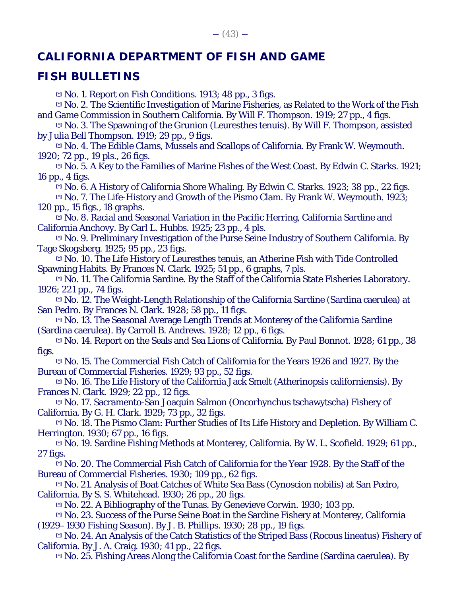# **CALIFORNIA DEPARTMENT OF FISH AND GAME**

# **FISH BULLETINS**

**[\*]** No. 1. Report on Fish Conditions. 1913; 48 pp., 3 figs.

**[\*]** No. 2. The Scientific Investigation of Marine Fisheries, as Related to the Work of the Fish and Game Commission in Southern California. By Will F. Thompson. 1919; 27 pp., 4 figs.

**[\*]** No. 3. The Spawning of the Grunion (Leuresthes tenuis). By Will F. Thompson, assisted by Julia Bell Thompson. 1919; 29 pp., 9 figs.

**[\*]** No. 4. The Edible Clams, Mussels and Scallops of California. By Frank W. Weymouth. 1920; 72 pp., 19 pls., 26 figs.

**[\*]** No. 5. A Key to the Families of Marine Fishes of the West Coast. By Edwin C. Starks. 1921; 16 pp., 4 figs.

**[\*]** No. 6. A History of California Shore Whaling. By Edwin C. Starks. 1923; 38 pp., 22 figs.

**[\*]** No. 7. The Life-History and Growth of the Pismo Clam. By Frank W. Weymouth. 1923; 120 pp., 15 figs., 18 graphs.

**[\*]** No. 8. Racial and Seasonal Variation in the Pacific Herring, California Sardine and California Anchovy. By Carl L. Hubbs. 1925; 23 pp., 4 pls.

**[\*]** No. 9. Preliminary Investigation of the Purse Seine Industry of Southern California. By Tage Skogsberg. 1925; 95 pp., 23 figs.

**[\*]** No. 10. The Life History of Leuresthes tenuis, an Atherine Fish with Tide Controlled Spawning Habits. By Frances N. Clark. 1925; 51 pp., 6 graphs, 7 pls.

**[\*]** No. 11. The California Sardine. By the Staff of the California State Fisheries Laboratory. 1926; 221 pp., 74 figs.

**[\*]** No. 12. The Weight-Length Relationship of the California Sardine (Sardina caerulea) at San Pedro. By Frances N. Clark. 1928; 58 pp., 11 figs.

**[\*]** No. 13. The Seasonal Average Length Trends at Monterey of the California Sardine (Sardina caerulea). By Carroll B. Andrews. 1928; 12 pp., 6 figs.

**[\*]** No. 14. Report on the Seals and Sea Lions of California. By Paul Bonnot. 1928; 61 pp., 38 figs.

**[\*]** No. 15. The Commercial Fish Catch of California for the Years 1926 and 1927. By the Bureau of Commercial Fisheries. 1929; 93 pp., 52 figs.

**[\*]** No. 16. The Life History of the California Jack Smelt (Atherinopsis californiensis). By Frances N. Clark. 1929; 22 pp., 12 figs.

**[\*]** No. 17. Sacramento-San Joaquin Salmon (Oncorhynchus tschawytscha) Fishery of California. By G. H. Clark. 1929; 73 pp., 32 figs.

**[\*]** No. 18. The Pismo Clam: Further Studies of Its Life History and Depletion. By William C. Herrington. 1930; 67 pp., 16 figs.

**[\*]** No. 19. Sardine Fishing Methods at Monterey, California. By W. L. Scofield. 1929; 61 pp., 27 figs.

**[\*]** No. 20. The Commercial Fish Catch of California for the Year 1928. By the Staff of the Bureau of Commercial Fisheries. 1930; 109 pp., 62 figs.

**[\*]** No. 21. Analysis of Boat Catches of White Sea Bass (Cynoscion nobilis) at San Pedro, California. By S. S. Whitehead. 1930; 26 pp., 20 figs.

**[\*]** No. 22. A Bibliography of the Tunas. By Genevieve Corwin. 1930; 103 pp.

**[\*]** No. 23. Success of the Purse Seine Boat in the Sardine Fishery at Monterey, California (1929–1930 Fishing Season). By J. B. Phillips. 1930; 28 pp., 19 figs.

**[\*]** No. 24. An Analysis of the Catch Statistics of the Striped Bass (Rocous lineatus) Fishery of California. By J. A. Craig. 1930; 41 pp., 22 figs.

**[\*]** No. 25. Fishing Areas Along the California Coast for the Sardine (Sardina caerulea). By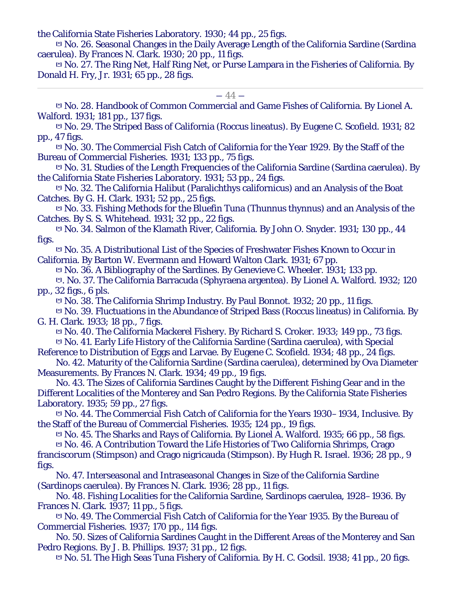the California State Fisheries Laboratory. 1930; 44 pp., 25 figs.

**[\*]** No. 26. Seasonal Changes in the Daily Average Length of the California Sardine (Sardina caerulea). By Frances N. Clark. 1930; 20 pp., 11 figs.

**[\*]** No. 27. The Ring Net, Half Ring Net, or Purse Lampara in the Fisheries of California. By Donald H. Fry, Jr. 1931; 65 pp., 28 figs.

#### $-44-$

**[\*]** No. 28. Handbook of Common Commercial and Game Fishes of California. By Lionel A. Walford. 1931; 181 pp., 137 figs.

**[\*]** No. 29. The Striped Bass of California (Roccus lineatus). By Eugene C. Scofield. 1931; 82 pp., 47 figs.

**[\*]** No. 30. The Commercial Fish Catch of California for the Year 1929. By the Staff of the Bureau of Commercial Fisheries. 1931; 133 pp., 75 figs.

**[\*]** No. 31. Studies of the Length Frequencies of the California Sardine (Sardina caerulea). By the California State Fisheries Laboratory. 1931; 53 pp., 24 figs.

**[\*]** No. 32. The California Halibut (Paralichthys californicus) and an Analysis of the Boat Catches. By G. H. Clark. 1931; 52 pp., 25 figs.

**[\*]** No. 33. Fishing Methods for the Bluefin Tuna (Thunnus thynnus) and an Analysis of the Catches. By S. S. Whitehead. 1931; 32 pp., 22 figs.

**[\*]** No. 34. Salmon of the Klamath River, California. By John O. Snyder. 1931; 130 pp., 44 figs.

**[\*]** No. 35. A Distributional List of the Species of Freshwater Fishes Known to Occur in California. By Barton W. Evermann and Howard Walton Clark. 1931; 67 pp.

**[\*]** No. 36. A Bibliography of the Sardines. By Genevieve C. Wheeler. 1931; 133 pp.

**[\*]**. No. 37. The California Barracuda (Sphyraena argentea). By Lionel A. Walford. 1932; 120 pp., 32 figs., 6 pls.

**[\*]** No. 38. The California Shrimp Industry. By Paul Bonnot. 1932; 20 pp., 11 figs.

**[\*]** No. 39. Fluctuations in the Abundance of Striped Bass (Roccus lineatus) in California. By G. H. Clark. 1933; 18 pp., 7 figs.

**[\*]** No. 40. The California Mackerel Fishery. By Richard S. Croker. 1933; 149 pp., 73 figs. **[\*]** No. 41. Early Life History of the California Sardine (Sardina caerulea), with Special

Reference to Distribution of Eggs and Larvae. By Eugene C. Scofield. 1934; 48 pp., 24 figs.

No. 42. Maturity of the California Sardine (Sardina caerulea), determined by Ova Diameter Measurements. By Frances N. Clark. 1934; 49 pp., 19 figs.

No. 43. The Sizes of California Sardines Caught by the Different Fishing Gear and in the Different Localities of the Monterey and San Pedro Regions. By the California State Fisheries Laboratory. 1935; 59 pp., 27 figs.

**[\*]** No. 44. The Commercial Fish Catch of California for the Years 1930–1934, Inclusive. By the Staff of the Bureau of Commercial Fisheries. 1935; 124 pp., 19 figs.

**[\*]** No. 45. The Sharks and Rays of California. By Lionel A. Walford. 1935; 66 pp., 58 figs.

**[\*]** No. 46. A Contribution Toward the Life Histories of Two California Shrimps, Crago franciscorum (Stimpson) and Crago nigricauda (Stimpson). By Hugh R. Israel. 1936; 28 pp., 9 figs.

No. 47. Interseasonal and Intraseasonal Changes in Size of the California Sardine (Sardinops caerulea). By Frances N. Clark. 1936; 28 pp., 11 figs.

No. 48. Fishing Localities for the California Sardine, Sardinops caerulea, 1928–1936. By Frances N. Clark. 1937; 11 pp., 5 figs.

**[\*]** No. 49. The Commercial Fish Catch of California for the Year 1935. By the Bureau of Commercial Fisheries. 1937; 170 pp., 114 figs.

No. 50. Sizes of California Sardines Caught in the Different Areas of the Monterey and San Pedro Regions. By J. B. Phillips. 1937; 31 pp., 12 figs.

**[\*]** No. 51. The High Seas Tuna Fishery of California. By H. C. Godsil. 1938; 41 pp., 20 figs.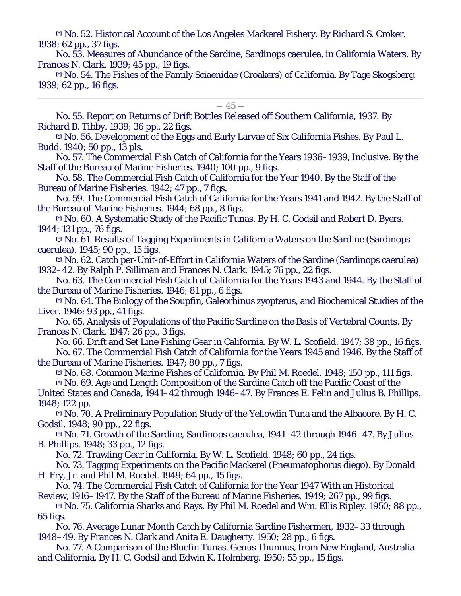**[\*]** No. 52. Historical Account of the Los Angeles Mackerel Fishery. By Richard S. Croker. 1938; 62 pp., 37 figs.

No. 53. Measures of Abundance of the Sardine, Sardinops caerulea, in California Waters. By Frances N. Clark. 1939; 45 pp., 19 figs.

**[\*]** No. 54. The Fishes of the Family Sciaenidae (Croakers) of California. By Tage Skogsberg. 1939; 62 pp., 16 figs.

 $-45-$ 

No. 55. Report on Returns of Drift Bottles Released off Southern California, 1937. By Richard B. Tibby. 1939; 36 pp., 22 figs.

**[\*]** No. 56. Development of the Eggs and Early Larvae of Six California Fishes. By Paul L. Budd. 1940; 50 pp., 13 pls.

No. 57. The Commercial Fish Catch of California for the Years 1936–1939, Inclusive. By the Staff of the Bureau of Marine Fisheries. 1940; 100 pp., 9 figs.

No. 58. The Commercial Fish Catch of California for the Year 1940. By the Staff of the Bureau of Marine Fisheries. 1942; 47 pp., 7 figs.

No. 59. The Commercial Fish Catch of California for the Years 1941 and 1942. By the Staff of the Bureau of Marine Fisheries. 1944; 68 pp., 8 figs.

**[\*]** No. 60. A Systematic Study of the Pacific Tunas. By H. C. Godsil and Robert D. Byers. 1944; 131 pp., 76 figs.

**[\*]** No. 61. Results of Tagging Experiments in California Waters on the Sardine (Sardinops caerulea). 1945; 90 pp., 15 figs.

**[\*]** No. 62. Catch per-Unit-of-Effort in California Waters of the Sardine (Sardinops caerulea) 1932–42. By Ralph P. Silliman and Frances N. Clark. 1945; 76 pp., 22 figs.

No. 63. The Commercial Fish Catch of California for the Years 1943 and 1944. By the Staff of the Bureau of Marine Fisheries. 1946; 81 pp., 6 figs.

**[\*]** No. 64. The Biology of the Soupfin, Galeorhinus zyopterus, and Biochemical Studies of the Liver. 1946; 93 pp., 41 figs.

No. 65. Analysis of Populations of the Pacific Sardine on the Basis of Vertebral Counts. By Frances N. Clark. 1947; 26 pp., 3 figs.

No. 66. Drift and Set Line Fishing Gear in California. By W. L. Scofield. 1947; 38 pp., 16 figs. No. 67. The Commercial Fish Catch of California for the Years 1945 and 1946. By the Staff of the Bureau of Marine Fisheries. 1947; 80 pp., 7 figs.

**[\*]** No. 68. Common Marine Fishes of California. By Phil M. Roedel. 1948; 150 pp., 111 figs. **[\*]** No. 69. Age and Length Composition of the Sardine Catch off the Pacific Coast of the

United States and Canada, 1941–42 through 1946–47. By Frances E. Felin and Julius B. Phillips. 1948; 122 pp.

**[\*]** No. 70. A Preliminary Population Study of the Yellowfin Tuna and the Albacore. By H. C. Godsil. 1948; 90 pp., 22 figs.

**[\*]** No. 71. Growth of the Sardine, Sardinops caerulea, 1941–42 through 1946–47. By Julius B. Phillips. 1948; 33 pp., 12 figs.

No. 72. Trawling Gear in California. By W. L. Scofield. 1948; 60 pp., 24 figs.

No. 73. Tagging Experiments on the Pacific Mackerel (Pneumatophorus diego). By Donald H. Fry, Jr. and Phil M. Roedel. 1949; 64 pp., 15 figs.

No. 74. The Commercial Fish Catch of California for the Year 1947 With an Historical Review, 1916–1947. By the Staff of the Bureau of Marine Fisheries. 1949; 267 pp., 99 figs.

**[\*]** No. 75. California Sharks and Rays. By Phil M. Roedel and Wm. Ellis Ripley. 1950; 88 pp., 65 figs.

No. 76. Average Lunar Month Catch by California Sardine Fishermen, 1932–33 through 1948–49. By Frances N. Clark and Anita E. Daugherty. 1950; 28 pp., 6 figs.

No. 77. A Comparison of the Bluefin Tunas, Genus Thunnus, from New England, Australia and California. By H. C. Godsil and Edwin K. Holmberg. 1950; 55 pp., 15 figs.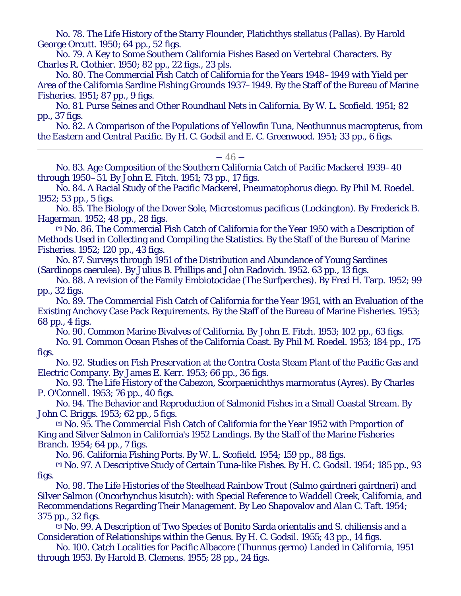No. 78. The Life History of the Starry Flounder, Platichthys stellatus (Pallas). By Harold George Orcutt. 1950; 64 pp., 52 figs.

No. 79. A Key to Some Southern California Fishes Based on Vertebral Characters. By Charles R. Clothier. 1950; 82 pp., 22 figs., 23 pls.

No. 80. The Commercial Fish Catch of California for the Years 1948–1949 with Yield per Area of the California Sardine Fishing Grounds 1937–1949. By the Staff of the Bureau of Marine Fisheries. 1951; 87 pp., 9 figs.

No. 81. Purse Seines and Other Roundhaul Nets in California. By W. L. Scofield. 1951; 82 pp., 37 figs.

No. 82. A Comparison of the Populations of Yellowfin Tuna, Neothunnus macropterus, from the Eastern and Central Pacific. By H. C. Godsil and E. C. Greenwood. 1951; 33 pp., 6 figs.

#### $-46-$

No. 83. Age Composition of the Southern California Catch of Pacific Mackerel 1939–40 through 1950–51. By John E. Fitch. 1951; 73 pp., 17 figs.

No. 84. A Racial Study of the Pacific Mackerel, Pneumatophorus diego. By Phil M. Roedel. 1952; 53 pp., 5 figs.

No. 85. The Biology of the Dover Sole, Microstomus pacificus (Lockington). By Frederick B. Hagerman. 1952; 48 pp., 28 figs.

**[\*]** No. 86. The Commercial Fish Catch of California for the Year 1950 with a Description of Methods Used in Collecting and Compiling the Statistics. By the Staff of the Bureau of Marine Fisheries. 1952; 120 pp., 43 figs.

No. 87. Surveys through 1951 of the Distribution and Abundance of Young Sardines (Sardinops caerulea). By Julius B. Phillips and John Radovich. 1952. 63 pp., 13 figs.

No. 88. A revision of the Family Embiotocidae (The Surfperches). By Fred H. Tarp. 1952; 99 pp., 32 figs.

No. 89. The Commercial Fish Catch of California for the Year 1951, with an Evaluation of the Existing Anchovy Case Pack Requirements. By the Staff of the Bureau of Marine Fisheries. 1953; 68 pp., 4 figs.

No. 90. Common Marine Bivalves of California. By John E. Fitch. 1953; 102 pp., 63 figs.

No. 91. Common Ocean Fishes of the California Coast. By Phil M. Roedel. 1953; 184 pp., 175 figs.

No. 92. Studies on Fish Preservation at the Contra Costa Steam Plant of the Pacific Gas and Electric Company. By James E. Kerr. 1953; 66 pp., 36 figs.

No. 93. The Life History of the Cabezon, Scorpaenichthys marmoratus (Ayres). By Charles P. O'Connell. 1953; 76 pp., 40 figs.

No. 94. The Behavior and Reproduction of Salmonid Fishes in a Small Coastal Stream. By John C. Briggs. 1953; 62 pp., 5 figs.

**[\*]** No. 95. The Commercial Fish Catch of California for the Year 1952 with Proportion of King and Silver Salmon in California's 1952 Landings. By the Staff of the Marine Fisheries Branch. 1954; 64 pp., 7 figs.

No. 96. California Fishing Ports. By W. L. Scofield. 1954; 159 pp., 88 figs.

**[\*]** No. 97. A Descriptive Study of Certain Tuna-like Fishes. By H. C. Godsil. 1954; 185 pp., 93 figs.

No. 98. The Life Histories of the Steelhead Rainbow Trout (Salmo gairdneri gairdneri) and Silver Salmon (Oncorhynchus kisutch): with Special Reference to Waddell Creek, California, and Recommendations Regarding Their Management. By Leo Shapovalov and Alan C. Taft. 1954; 375 pp., 32 figs.

**[\*]** No. 99. A Description of Two Species of Bonito Sarda orientalis and S. chiliensis and a Consideration of Relationships within the Genus. By H. C. Godsil. 1955; 43 pp., 14 figs.

No. 100. Catch Localities for Pacific Albacore (Thunnus germo) Landed in California, 1951 through 1953. By Harold B. Clemens. 1955; 28 pp., 24 figs.